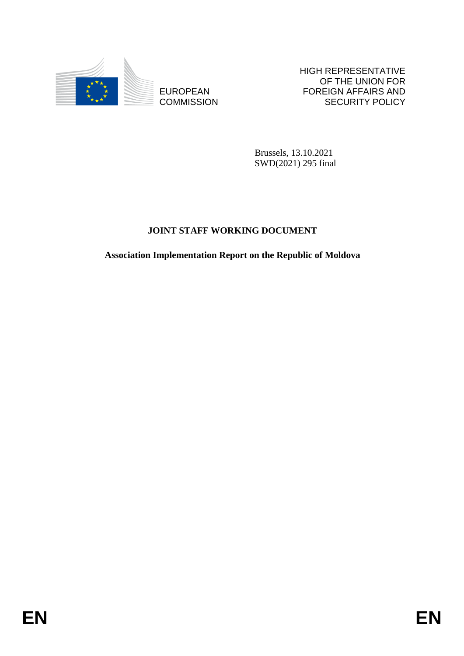

**COMMISSION** 

HIGH REPRESENTATIVE OF THE UNION FOR FOREIGN AFFAIRS AND SECURITY POLICY

Brussels, 13.10.2021 SWD(2021) 295 final

# **JOINT STAFF WORKING DOCUMENT**

EUROPEAN FOREIGN FRANCH SAND FOREIGN AFFAIRS AND COMMISSION BRussels, 13.10.2021<br>
BRussels, 13.10.2021<br>
SWD,2021 2355 final<br>
JOINT STAFF WORKING DOCUMENT<br>
Association Implementation Report on the Republic of Moldova<br> **EN Association Implementation Report on the Republic of Moldova**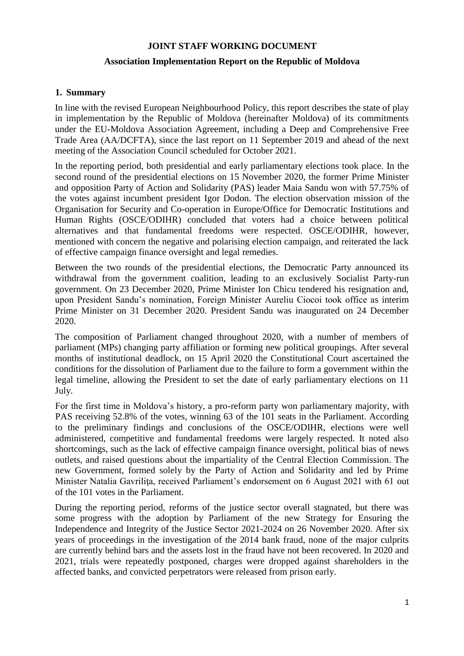#### **JOINT STAFF WORKING DOCUMENT**

#### **Association Implementation Report on the Republic of Moldova**

#### **1. Summary**

In line with the revised European Neighbourhood Policy, this report describes the state of play in implementation by the Republic of Moldova (hereinafter Moldova) of its commitments under the EU-Moldova Association Agreement, including a Deep and Comprehensive Free Trade Area (AA/DCFTA), since the last report on 11 September 2019 and ahead of the next meeting of the Association Council scheduled for October 2021.

In the reporting period, both presidential and early parliamentary elections took place. In the second round of the presidential elections on 15 November 2020, the former Prime Minister and opposition Party of Action and Solidarity (PAS) leader Maia Sandu won with 57.75% of the votes against incumbent president Igor Dodon. The election observation mission of the Organisation for Security and Co-operation in Europe/Office for Democratic Institutions and Human Rights (OSCE/ODIHR) concluded that voters had a choice between political alternatives and that fundamental freedoms were respected. OSCE/ODIHR, however, mentioned with concern the negative and polarising election campaign, and reiterated the lack of effective campaign finance oversight and legal remedies.

Between the two rounds of the presidential elections, the Democratic Party announced its withdrawal from the government coalition, leading to an exclusively Socialist Party-run government. On 23 December 2020, Prime Minister Ion Chicu tendered his resignation and, upon President Sandu's nomination, Foreign Minister Aureliu Ciocoi took office as interim Prime Minister on 31 December 2020. President Sandu was inaugurated on 24 December 2020.

The composition of Parliament changed throughout 2020, with a number of members of parliament (MPs) changing party affiliation or forming new political groupings. After several months of institutional deadlock, on 15 April 2020 the Constitutional Court ascertained the conditions for the dissolution of Parliament due to the failure to form a government within the legal timeline, allowing the President to set the date of early parliamentary elections on 11 July.

For the first time in Moldova's history, a pro-reform party won parliamentary majority, with PAS receiving 52.8% of the votes, winning 63 of the 101 seats in the Parliament. According to the preliminary findings and conclusions of the OSCE/ODIHR, elections were well administered, competitive and fundamental freedoms were largely respected. It noted also shortcomings, such as the lack of effective campaign finance oversight, political bias of news outlets, and raised questions about the impartiality of the Central Election Commission. The new Government, formed solely by the Party of Action and Solidarity and led by Prime Minister Natalia Gavriliţa, received Parliament's endorsement on 6 August 2021 with 61 out of the 101 votes in the Parliament.

During the reporting period, reforms of the justice sector overall stagnated, but there was some progress with the adoption by Parliament of the new Strategy for Ensuring the Independence and Integrity of the Justice Sector 2021-2024 on 26 November 2020. After six years of proceedings in the investigation of the 2014 bank fraud, none of the major culprits are currently behind bars and the assets lost in the fraud have not been recovered. In 2020 and 2021, trials were repeatedly postponed, charges were dropped against shareholders in the affected banks, and convicted perpetrators were released from prison early.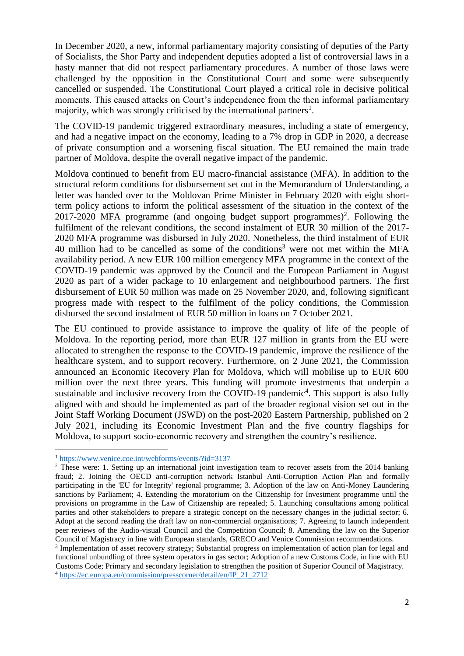In December 2020, a new, informal parliamentary majority consisting of deputies of the Party of Socialists, the Shor Party and independent deputies adopted a list of controversial laws in a hasty manner that did not respect parliamentary procedures. A number of those laws were challenged by the opposition in the Constitutional Court and some were subsequently cancelled or suspended. The Constitutional Court played a critical role in decisive political moments. This caused attacks on Court's independence from the then informal parliamentary majority, which was strongly criticised by the international partners<sup>1</sup>.

The COVID-19 pandemic triggered extraordinary measures, including a state of emergency, and had a negative impact on the economy, leading to a 7% drop in GDP in 2020, a decrease of private consumption and a worsening fiscal situation. The EU remained the main trade partner of Moldova, despite the overall negative impact of the pandemic.

Moldova continued to benefit from EU macro-financial assistance (MFA). In addition to the structural reform conditions for disbursement set out in the Memorandum of Understanding, a letter was handed over to the Moldovan Prime Minister in February 2020 with eight shortterm policy actions to inform the political assessment of the situation in the context of the  $2017-2020$  MFA programme (and ongoing budget support programmes)<sup>2</sup>. Following the fulfilment of the relevant conditions, the second instalment of EUR 30 million of the 2017- 2020 MFA programme was disbursed in July 2020. Nonetheless, the third instalment of EUR 40 million had to be cancelled as some of the conditions<sup>3</sup> were not met within the MFA availability period. A new EUR 100 million emergency MFA programme in the context of the COVID-19 pandemic was approved by the Council and the European Parliament in August 2020 as part of a wider package to 10 enlargement and neighbourhood partners. The first disbursement of EUR 50 million was made on 25 November 2020, and, following significant progress made with respect to the fulfilment of the policy conditions, the Commission disbursed the second instalment of EUR 50 million in loans on 7 October 2021.

The EU continued to provide assistance to improve the quality of life of the people of Moldova. In the reporting period, more than EUR 127 million in grants from the EU were allocated to strengthen the response to the COVID-19 pandemic, improve the resilience of the healthcare system, and to support recovery. Furthermore, on 2 June 2021, the Commission announced an Economic Recovery Plan for Moldova, which will mobilise up to EUR 600 million over the next three years. This funding will promote investments that underpin a sustainable and inclusive recovery from the COVID-19 pandemic<sup>4</sup>. This support is also fully aligned with and should be implemented as part of the broader regional vision set out in the Joint Staff Working Document (JSWD) on the post-2020 Eastern Partnership, published on 2 July 2021, including its Economic Investment Plan and the five country flagships for Moldova, to support socio-economic recovery and strengthen the country's resilience.

1

<sup>4</sup> [https://ec.europa.eu/commission/presscorner/detail/en/IP\\_21\\_2712](https://ec.europa.eu/commission/presscorner/detail/en/IP_21_2712)

<sup>&</sup>lt;sup>1</sup> <https://www.venice.coe.int/webforms/events/?id=3137>

<sup>&</sup>lt;sup>2</sup> These were: 1. Setting up an international joint investigation team to recover assets from the 2014 banking fraud; 2. Joining the OECD anti-corruption network Istanbul Anti-Corruption Action Plan and formally participating in the 'EU for Integrity' regional programme; 3. Adoption of the law on Anti-Money Laundering sanctions by Parliament; 4. Extending the moratorium on the Citizenship for Investment programme until the provisions on programme in the Law of Citizenship are repealed; 5. Launching consultations among political parties and other stakeholders to prepare a strategic concept on the necessary changes in the judicial sector; 6. Adopt at the second reading the draft law on non-commercial organisations; 7. Agreeing to launch independent peer reviews of the Audio-visual Council and the Competition Council; 8. Amending the law on the Superior Council of Magistracy in line with European standards, GRECO and Venice Commission recommendations.

<sup>&</sup>lt;sup>3</sup> Implementation of asset recovery strategy; Substantial progress on implementation of action plan for legal and functional unbundling of three system operators in gas sector; Adoption of a new Customs Code, in line with EU Customs Code; Primary and secondary legislation to strengthen the position of Superior Council of Magistracy.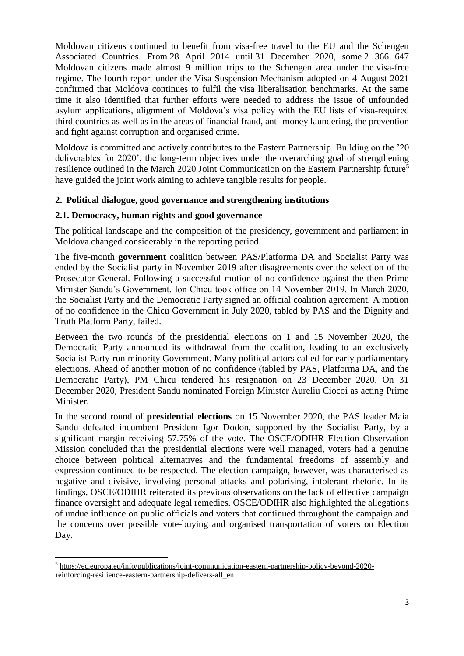Moldovan citizens continued to benefit from visa-free travel to the EU and the Schengen Associated Countries. From 28 April 2014 until 31 December 2020, some 2 366 647 Moldovan citizens made almost 9 million trips to the Schengen area under the visa-free regime. The fourth report under the Visa Suspension Mechanism adopted on 4 August 2021 confirmed that Moldova continues to fulfil the visa liberalisation benchmarks. At the same time it also identified that further efforts were needed to address the issue of unfounded asylum applications, alignment of Moldova's visa policy with the EU lists of visa-required third countries as well as in the areas of financial fraud, anti-money laundering, the prevention and fight against corruption and organised crime.

Moldova is committed and actively contributes to the Eastern Partnership. Building on the '20 deliverables for 2020', the long-term objectives under the overarching goal of strengthening resilience outlined in the March 2020 Joint Communication on the Eastern Partnership future<sup>5</sup> have guided the joint work aiming to achieve tangible results for people.

## **2. Political dialogue, good governance and strengthening institutions**

## **2.1. Democracy, human rights and good governance**

The political landscape and the composition of the presidency, government and parliament in Moldova changed considerably in the reporting period.

The five-month **government** coalition between PAS/Platforma DA and Socialist Party was ended by the Socialist party in November 2019 after disagreements over the selection of the Prosecutor General. Following a successful motion of no confidence against the then Prime Minister Sandu's Government, Ion Chicu took office on 14 November 2019. In March 2020, the Socialist Party and the Democratic Party signed an official coalition agreement. A motion of no confidence in the Chicu Government in July 2020, tabled by PAS and the Dignity and Truth Platform Party, failed.

Between the two rounds of the presidential elections on 1 and 15 November 2020, the Democratic Party announced its withdrawal from the coalition, leading to an exclusively Socialist Party-run minority Government. Many political actors called for early parliamentary elections. Ahead of another motion of no confidence (tabled by PAS, Platforma DA, and the Democratic Party), PM Chicu tendered his resignation on 23 December 2020. On 31 December 2020, President Sandu nominated Foreign Minister Aureliu Ciocoi as acting Prime Minister.

In the second round of **presidential elections** on 15 November 2020, the PAS leader Maia Sandu defeated incumbent President Igor Dodon, supported by the Socialist Party, by a significant margin receiving 57.75% of the vote. The OSCE/ODIHR Election Observation Mission concluded that the presidential elections were well managed, voters had a genuine choice between political alternatives and the fundamental freedoms of assembly and expression continued to be respected. The election campaign, however, was characterised as negative and divisive, involving personal attacks and polarising, intolerant rhetoric. In its findings, OSCE/ODIHR reiterated its previous observations on the lack of effective campaign finance oversight and adequate legal remedies. OSCE/ODIHR also highlighted the allegations of undue influence on public officials and voters that continued throughout the campaign and the concerns over possible vote-buying and organised transportation of voters on Election Day.

1

<sup>5</sup> [https://ec.europa.eu/info/publications/joint-communication-eastern-partnership-policy-beyond-2020](https://ec.europa.eu/info/publications/joint-communication-eastern-partnership-policy-beyond-2020-reinforcing-resilience-eastern-partnership-delivers-all_en) [reinforcing-resilience-eastern-partnership-delivers-all\\_en](https://ec.europa.eu/info/publications/joint-communication-eastern-partnership-policy-beyond-2020-reinforcing-resilience-eastern-partnership-delivers-all_en)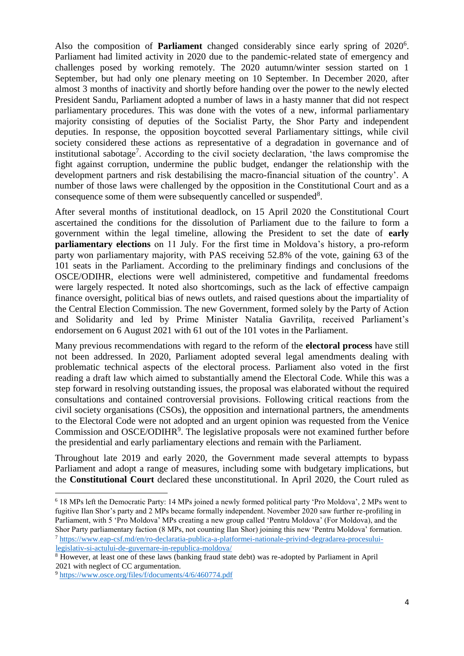Also the composition of **Parliament** changed considerably since early spring of 2020<sup>6</sup>. Parliament had limited activity in 2020 due to the pandemic-related state of emergency and challenges posed by working remotely. The 2020 autumn/winter session started on 1 September, but had only one plenary meeting on 10 September. In December 2020, after almost 3 months of inactivity and shortly before handing over the power to the newly elected President Sandu, Parliament adopted a number of laws in a hasty manner that did not respect parliamentary procedures. This was done with the votes of a new, informal parliamentary majority consisting of deputies of the Socialist Party, the Shor Party and independent deputies. In response, the opposition boycotted several Parliamentary sittings, while civil society considered these actions as representative of a degradation in governance and of institutional sabotage<sup>7</sup>. According to the civil society declaration, 'the laws compromise the fight against corruption, undermine the public budget, endanger the relationship with the development partners and risk destabilising the macro-financial situation of the country'. A number of those laws were challenged by the opposition in the Constitutional Court and as a consequence some of them were subsequently cancelled or suspended<sup>8</sup>.

After several months of institutional deadlock, on 15 April 2020 the Constitutional Court ascertained the conditions for the dissolution of Parliament due to the failure to form a government within the legal timeline, allowing the President to set the date of **early parliamentary elections** on 11 July. For the first time in Moldova's history, a pro-reform party won parliamentary majority, with PAS receiving 52.8% of the vote, gaining 63 of the 101 seats in the Parliament. According to the preliminary findings and conclusions of the OSCE/ODIHR, elections were well administered, competitive and fundamental freedoms were largely respected. It noted also shortcomings, such as the lack of effective campaign finance oversight, political bias of news outlets, and raised questions about the impartiality of the Central Election Commission. The new Government, formed solely by the Party of Action and Solidarity and led by Prime Minister Natalia Gavriliţa, received Parliament's endorsement on 6 August 2021 with 61 out of the 101 votes in the Parliament.

Many previous recommendations with regard to the reform of the **electoral process** have still not been addressed. In 2020, Parliament adopted several legal amendments dealing with problematic technical aspects of the electoral process. Parliament also voted in the first reading a draft law which aimed to substantially amend the Electoral Code. While this was a step forward in resolving outstanding issues, the proposal was elaborated without the required consultations and contained controversial provisions. Following critical reactions from the civil society organisations (CSOs), the opposition and international partners, the amendments to the Electoral Code were not adopted and an urgent opinion was requested from the Venice Commission and OSCE/ODIHR<sup>9</sup>. The legislative proposals were not examined further before the presidential and early parliamentary elections and remain with the Parliament.

Throughout late 2019 and early 2020, the Government made several attempts to bypass Parliament and adopt a range of measures, including some with budgetary implications, but the **Constitutional Court** declared these unconstitutional. In April 2020, the Court ruled as

1

<sup>6</sup> 18 MPs left the Democratic Party: 14 MPs joined a newly formed political party 'Pro Moldova', 2 MPs went to fugitive Ilan Shor's party and 2 MPs became formally independent. November 2020 saw further re-profiling in Parliament, with 5 'Pro Moldova' MPs creating a new group called 'Pentru Moldova' (For Moldova), and the Shor Party parliamentary faction (8 MPs, not counting Ilan Shor) joining this new 'Pentru Moldova' formation. <sup>7</sup> [https://www.eap-csf.md/en/ro-declaratia-publica-a-platformei-nationale-privind-degradarea-procesului](https://www.eap-csf.md/en/ro-declaratia-publica-a-platformei-nationale-privind-degradarea-procesului-legislativ-si-actului-de-guvernare-in-republica-moldova/)[legislativ-si-actului-de-guvernare-in-republica-moldova/](https://www.eap-csf.md/en/ro-declaratia-publica-a-platformei-nationale-privind-degradarea-procesului-legislativ-si-actului-de-guvernare-in-republica-moldova/)

<sup>8</sup> However, at least one of these laws (banking fraud state debt) was re-adopted by Parliament in April 2021 with neglect of CC argumentation.

<sup>9</sup> <https://www.osce.org/files/f/documents/4/6/460774.pdf>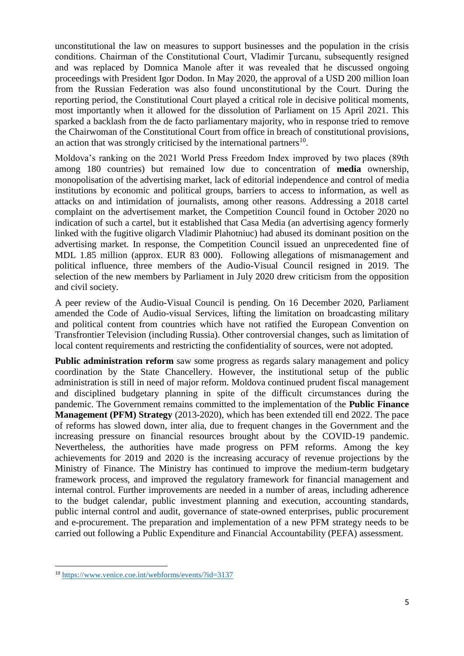unconstitutional the law on measures to support businesses and the population in the crisis conditions. Chairman of the Constitutional Court, Vladimir Ţurcanu, subsequently resigned and was replaced by Domnica Manole after it was revealed that he discussed ongoing proceedings with President Igor Dodon. In May 2020, the approval of a USD 200 million loan from the Russian Federation was also found unconstitutional by the Court. During the reporting period, the Constitutional Court played a critical role in decisive political moments, most importantly when it allowed for the dissolution of Parliament on 15 April 2021. This sparked a backlash from the de facto parliamentary majority, who in response tried to remove the Chairwoman of the Constitutional Court from office in breach of constitutional provisions, an action that was strongly criticised by the international partners $^{10}$ .

Moldova's ranking on the 2021 World Press Freedom Index improved by two places (89th among 180 countries) but remained low due to concentration of **media** ownership, monopolisation of the advertising market, lack of editorial independence and control of media institutions by economic and political groups, barriers to access to information, as well as attacks on and intimidation of journalists, among other reasons. Addressing a 2018 cartel complaint on the advertisement market, the Competition Council found in October 2020 no indication of such a cartel, but it established that Casa Media (an advertising agency formerly linked with the fugitive oligarch Vladimir Plahotniuc) had abused its dominant position on the advertising market. In response, the Competition Council issued an unprecedented fine of MDL 1.85 million (approx. EUR 83 000). Following allegations of mismanagement and political influence, three members of the Audio-Visual Council resigned in 2019. The selection of the new members by Parliament in July 2020 drew criticism from the opposition and civil society.

A peer review of the Audio-Visual Council is pending. On 16 December 2020, Parliament amended the Code of Audio-visual Services, lifting the limitation on broadcasting military and political content from countries which have not ratified the European Convention on Transfrontier Television (including Russia). Other controversial changes, such as limitation of local content requirements and restricting the confidentiality of sources, were not adopted.

**Public administration reform** saw some progress as regards salary management and policy coordination by the State Chancellery. However, the institutional setup of the public administration is still in need of major reform. Moldova continued prudent fiscal management and disciplined budgetary planning in spite of the difficult circumstances during the pandemic. The Government remains committed to the implementation of the **Public Finance Management (PFM) Strategy** (2013-2020), which has been extended till end 2022. The pace of reforms has slowed down, inter alia, due to frequent changes in the Government and the increasing pressure on financial resources brought about by the COVID-19 pandemic. Nevertheless, the authorities have made progress on PFM reforms. Among the key achievements for 2019 and 2020 is the increasing accuracy of revenue projections by the Ministry of Finance. The Ministry has continued to improve the medium-term budgetary framework process, and improved the regulatory framework for financial management and internal control. Further improvements are needed in a number of areas, including adherence to the budget calendar, public investment planning and execution, accounting standards, public internal control and audit, governance of state-owned enterprises, public procurement and e-procurement. The preparation and implementation of a new PFM strategy needs to be carried out following a Public Expenditure and Financial Accountability (PEFA) assessment.

 $\overline{a}$ 

<sup>10</sup> <https://www.venice.coe.int/webforms/events/?id=3137>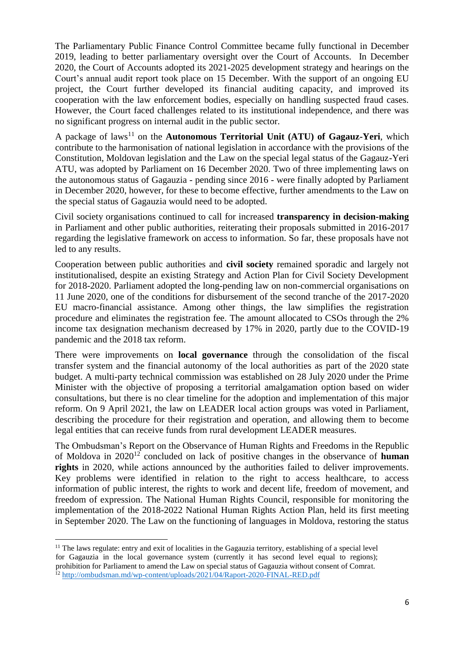The Parliamentary Public Finance Control Committee became fully functional in December 2019, leading to better parliamentary oversight over the Court of Accounts. In December 2020, the Court of Accounts adopted its 2021-2025 development strategy and hearings on the Court's annual audit report took place on 15 December. With the support of an ongoing EU project, the Court further developed its financial auditing capacity, and improved its cooperation with the law enforcement bodies, especially on handling suspected fraud cases. However, the Court faced challenges related to its institutional independence, and there was no significant progress on internal audit in the public sector.

A package of laws<sup>11</sup> on the **Autonomous Territorial Unit (ATU) of Gagauz-Yeri**, which contribute to the harmonisation of national legislation in accordance with the provisions of the Constitution, Moldovan legislation and the Law on the special legal status of the Gagauz-Yeri ATU, was adopted by Parliament on 16 December 2020. Two of three implementing laws on the autonomous status of Gagauzia - pending since 2016 - were finally adopted by Parliament in December 2020, however, for these to become effective, further amendments to the Law on the special status of Gagauzia would need to be adopted.

Civil society organisations continued to call for increased **transparency in decision-making** in Parliament and other public authorities, reiterating their proposals submitted in 2016-2017 regarding the legislative framework on access to information. So far, these proposals have not led to any results.

Cooperation between public authorities and **civil society** remained sporadic and largely not institutionalised, despite an existing Strategy and Action Plan for Civil Society Development for 2018-2020. Parliament adopted the long-pending law on non-commercial organisations on 11 June 2020, one of the conditions for disbursement of the second tranche of the 2017-2020 EU macro-financial assistance. Among other things, the law simplifies the registration procedure and eliminates the registration fee. The amount allocated to CSOs through the 2% income tax designation mechanism decreased by 17% in 2020, partly due to the COVID-19 pandemic and the 2018 tax reform.

There were improvements on **local governance** through the consolidation of the fiscal transfer system and the financial autonomy of the local authorities as part of the 2020 state budget. A multi-party technical commission was established on 28 July 2020 under the Prime Minister with the objective of proposing a territorial amalgamation option based on wider consultations, but there is no clear timeline for the adoption and implementation of this major reform. On 9 April 2021, the law on LEADER local action groups was voted in Parliament, describing the procedure for their registration and operation, and allowing them to become legal entities that can receive funds from rural development LEADER measures.

The Ombudsman's Report on the Observance of Human Rights and Freedoms in the Republic of Moldova in 2020<sup>12</sup> concluded on lack of positive changes in the observance of **human rights** in 2020, while actions announced by the authorities failed to deliver improvements. Key problems were identified in relation to the right to access healthcare, to access information of public interest, the rights to work and decent life, freedom of movement, and freedom of expression. The National Human Rights Council, responsible for monitoring the implementation of the 2018-2022 National Human Rights Action Plan, held its first meeting in September 2020. The Law on the functioning of languages in Moldova, restoring the status

 $\ddot{\phantom{a}}$ 

<sup>&</sup>lt;sup>11</sup> The laws regulate: entry and exit of localities in the Gagauzia territory, establishing of a special level for Gagauzia in the local governance system (currently it has second level equal to regions); prohibition for Parliament to amend the Law on special status of Gagauzia without consent of Comrat.

<sup>&</sup>lt;sup>12</sup> <http://ombudsman.md/wp-content/uploads/2021/04/Raport-2020-FINAL-RED.pdf>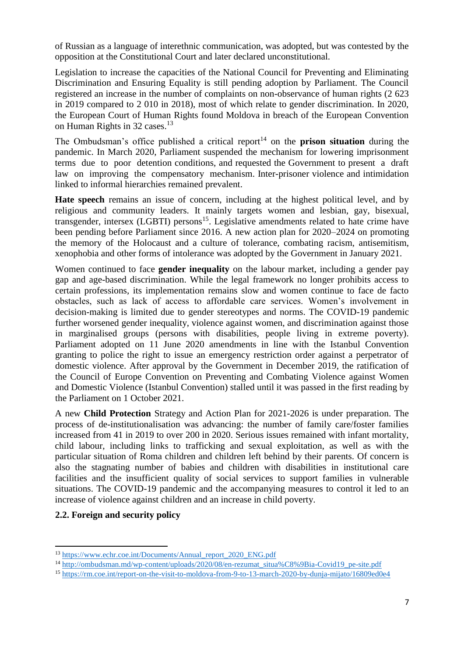of Russian as a language of interethnic communication, was adopted, but was contested by the opposition at the Constitutional Court and later declared unconstitutional.

Legislation to increase the capacities of the National Council for Preventing and Eliminating Discrimination and Ensuring Equality is still pending adoption by Parliament. The Council registered an increase in the number of complaints on non-observance of human rights (2 623 in 2019 compared to 2 010 in 2018), most of which relate to gender discrimination. In 2020, the European Court of Human Rights found Moldova in breach of the European Convention on Human Rights in 32 cases.<sup>13</sup>

The Ombudsman's office published a critical report<sup>14</sup> on the **prison situation** during the pandemic. In March 2020, Parliament suspended the mechanism for lowering imprisonment terms due to poor detention conditions, and requested the Government to present a draft law on improving the compensatory mechanism. Inter-prisoner violence and intimidation linked to informal hierarchies remained prevalent.

**Hate speech** remains an issue of concern, including at the highest political level, and by religious and community leaders. It mainly targets women and lesbian, gay, bisexual, transgender, intersex (LGBTI) persons<sup>15</sup>. Legislative amendments related to hate crime have been pending before Parliament since 2016. A new action plan for 2020–2024 on promoting the memory of the Holocaust and a culture of tolerance, combating racism, antisemitism, xenophobia and other forms of intolerance was adopted by the Government in January 2021.

Women continued to face **gender inequality** on the labour market, including a gender pay gap and age-based discrimination. While the legal framework no longer prohibits access to certain professions, its implementation remains slow and women continue to face de facto obstacles, such as lack of access to affordable care services. Women's involvement in decision-making is limited due to gender stereotypes and norms. The COVID-19 pandemic further worsened gender inequality, violence against women, and discrimination against those in marginalised groups (persons with disabilities, people living in extreme poverty). Parliament adopted on 11 June 2020 amendments in line with the Istanbul Convention granting to police the right to issue an emergency restriction order against a perpetrator of domestic violence. After approval by the Government in December 2019, the ratification of the Council of Europe Convention on Preventing and Combating Violence against Women and Domestic Violence (Istanbul Convention) stalled until it was passed in the first reading by the Parliament on 1 October 2021.

A new **Child Protection** Strategy and Action Plan for 2021-2026 is under preparation. The process of de-institutionalisation was advancing: the number of family care/foster families increased from 41 in 2019 to over 200 in 2020. Serious issues remained with infant mortality, child labour, including links to trafficking and sexual exploitation, as well as with the particular situation of Roma children and children left behind by their parents. Of concern is also the stagnating number of babies and children with disabilities in institutional care facilities and the insufficient quality of social services to support families in vulnerable situations. The COVID-19 pandemic and the accompanying measures to control it led to an increase of violence against children and an increase in child poverty.

## **2.2. Foreign and security policy**

 $\ddot{\phantom{a}}$ 

<sup>&</sup>lt;sup>13</sup> [https://www.echr.coe.int/Documents/Annual\\_report\\_2020\\_ENG.pdf](https://www.echr.coe.int/Documents/Annual_report_2020_ENG.pdf)

<sup>&</sup>lt;sup>14</sup> http://ombudsman.md/wp-content/uploads/2020/08/en-rezumat\_situa%C8%9Bia-Covid19\_pe-site.pdf

<sup>15</sup> <https://rm.coe.int/report-on-the-visit-to-moldova-from-9-to-13-march-2020-by-dunja-mijato/16809ed0e4>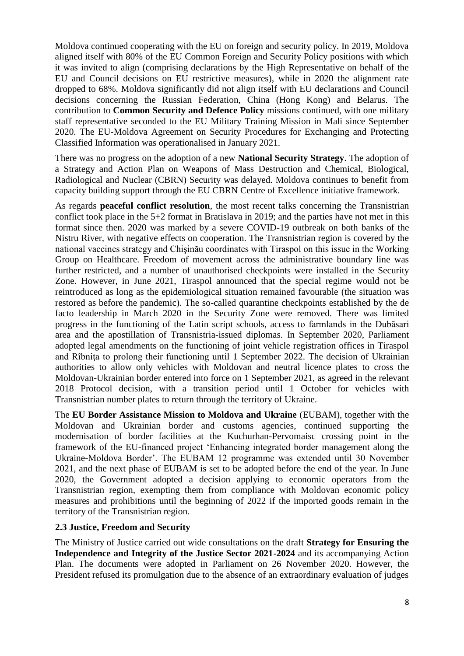Moldova continued cooperating with the EU on foreign and security policy. In 2019, Moldova aligned itself with 80% of the EU Common Foreign and Security Policy positions with which it was invited to align (comprising declarations by the High Representative on behalf of the EU and Council decisions on EU restrictive measures), while in 2020 the alignment rate dropped to 68%. Moldova significantly did not align itself with EU declarations and Council decisions concerning the Russian Federation, China (Hong Kong) and Belarus. The contribution to **Common Security and Defence Policy** missions continued, with one military staff representative seconded to the EU Military Training Mission in Mali since September 2020. The EU-Moldova Agreement on Security Procedures for Exchanging and Protecting Classified Information was operationalised in January 2021.

There was no progress on the adoption of a new **National Security Strategy**. The adoption of a Strategy and Action Plan on Weapons of Mass Destruction and Chemical, Biological, Radiological and Nuclear (CBRN) Security was delayed. Moldova continues to benefit from capacity building support through the EU CBRN Centre of Excellence initiative framework.

As regards **peaceful conflict resolution**, the most recent talks concerning the Transnistrian conflict took place in the 5+2 format in Bratislava in 2019; and the parties have not met in this format since then. 2020 was marked by a severe COVID-19 outbreak on both banks of the Nistru River, with negative effects on cooperation. The Transnistrian region is covered by the national vaccines strategy and Chişinău coordinates with Tiraspol on this issue in the Working Group on Healthcare. Freedom of movement across the administrative boundary line was further restricted, and a number of unauthorised checkpoints were installed in the Security Zone. However, in June 2021, Tiraspol announced that the special regime would not be reintroduced as long as the epidemiological situation remained favourable (the situation was restored as before the pandemic). The so-called quarantine checkpoints established by the de facto leadership in March 2020 in the Security Zone were removed. There was limited progress in the functioning of the Latin script schools, access to farmlands in the Dubăsari area and the apostillation of Transnistria-issued diplomas. In September 2020, Parliament adopted legal amendments on the functioning of joint vehicle registration offices in Tiraspol and Rîbniţa to prolong their functioning until 1 September 2022. The decision of Ukrainian authorities to allow only vehicles with Moldovan and neutral licence plates to cross the Moldovan-Ukrainian border entered into force on 1 September 2021, as agreed in the relevant 2018 Protocol decision, with a transition period until 1 October for vehicles with Transnistrian number plates to return through the territory of Ukraine.

The **EU Border Assistance Mission to Moldova and Ukraine** (EUBAM), together with the Moldovan and Ukrainian border and customs agencies, continued supporting the modernisation of border facilities at the Kuchurhan-Pervomaisc crossing point in the framework of the EU-financed project 'Enhancing integrated border management along the Ukraine-Moldova Border'. The EUBAM 12 programme was extended until 30 November 2021, and the next phase of EUBAM is set to be adopted before the end of the year. In June 2020, the Government adopted a decision applying to economic operators from the Transnistrian region, exempting them from compliance with Moldovan economic policy measures and prohibitions until the beginning of 2022 if the imported goods remain in the territory of the Transnistrian region.

## **2.3 Justice, Freedom and Security**

The Ministry of Justice carried out wide consultations on the draft **Strategy for Ensuring the Independence and Integrity of the Justice Sector 2021-2024** and its accompanying Action Plan. The documents were adopted in Parliament on 26 November 2020. However, the President refused its promulgation due to the absence of an extraordinary evaluation of judges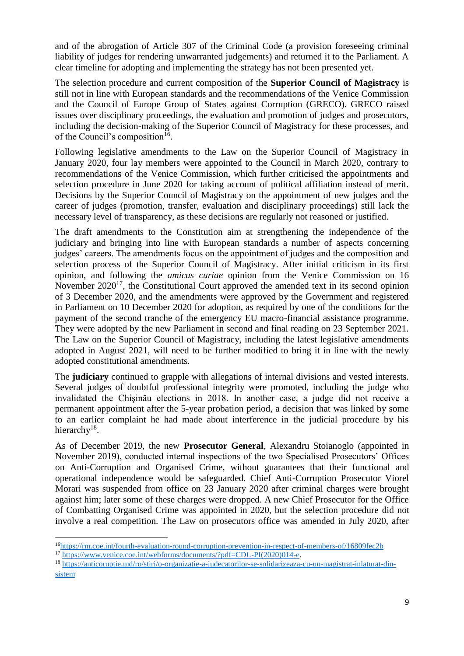and of the abrogation of Article 307 of the Criminal Code (a provision foreseeing criminal liability of judges for rendering unwarranted judgements) and returned it to the Parliament. A clear timeline for adopting and implementing the strategy has not been presented yet.

The selection procedure and current composition of the **Superior Council of Magistracy** is still not in line with European standards and the recommendations of the Venice Commission and the Council of Europe Group of States against Corruption (GRECO). GRECO raised issues over disciplinary proceedings, the evaluation and promotion of judges and prosecutors, including the decision-making of the Superior Council of Magistracy for these processes, and of the Council's composition<sup>16</sup>.

Following legislative amendments to the Law on the Superior Council of Magistracy in January 2020, four lay members were appointed to the Council in March 2020, contrary to recommendations of the Venice Commission, which further criticised the appointments and selection procedure in June 2020 for taking account of political affiliation instead of merit. Decisions by the Superior Council of Magistracy on the appointment of new judges and the career of judges (promotion, transfer, evaluation and disciplinary proceedings) still lack the necessary level of transparency, as these decisions are regularly not reasoned or justified.

The draft amendments to the Constitution aim at strengthening the independence of the judiciary and bringing into line with European standards a number of aspects concerning judges' careers. The amendments focus on the appointment of judges and the composition and selection process of the Superior Council of Magistracy. After initial criticism in its first opinion, and following the *amicus curiae* opinion from the Venice Commission on 16 November  $2020^{17}$ , the Constitutional Court approved the amended text in its second opinion of 3 December 2020, and the amendments were approved by the Government and registered in Parliament on 10 December 2020 for adoption, as required by one of the conditions for the payment of the second tranche of the emergency EU macro-financial assistance programme. They were adopted by the new Parliament in second and final reading on 23 September 2021. The Law on the Superior Council of Magistracy, including the latest legislative amendments adopted in August 2021, will need to be further modified to bring it in line with the newly adopted constitutional amendments.

The **judiciary** continued to grapple with allegations of internal divisions and vested interests. Several judges of doubtful professional integrity were promoted, including the judge who invalidated the Chişinău elections in 2018. In another case, a judge did not receive a permanent appointment after the 5-year probation period, a decision that was linked by some to an earlier complaint he had made about interference in the judicial procedure by his hierarchy<sup>18</sup>.

As of December 2019, the new **Prosecutor General**, Alexandru Stoianoglo (appointed in November 2019), conducted internal inspections of the two Specialised Prosecutors' Offices on Anti-Corruption and Organised Crime, without guarantees that their functional and operational independence would be safeguarded. Chief Anti-Corruption Prosecutor Viorel Morari was suspended from office on 23 January 2020 after criminal charges were brought against him; later some of these charges were dropped. A new Chief Prosecutor for the Office of Combatting Organised Crime was appointed in 2020, but the selection procedure did not involve a real competition. The Law on prosecutors office was amended in July 2020, after

 $\overline{a}$ <sup>16</sup><https://rm.coe.int/fourth-evaluation-round-corruption-prevention-in-respect-of-members-of/16809fec2b>

<sup>&</sup>lt;sup>17</sup> [https://www.venice.coe.int/webforms/documents/?pdf=CDL-PI\(2020\)014-e.](https://www.venice.coe.int/webforms/documents/?pdf=CDL-PI(2020)014-e)

<sup>18</sup> [https://anticoruptie.md/ro/stiri/o-organizatie-a-judecatorilor-se-solidarizeaza-cu-un-magistrat-inlaturat-din](https://anticoruptie.md/ro/stiri/o-organizatie-a-judecatorilor-se-solidarizeaza-cu-un-magistrat-inlaturat-din-sistem)[sistem](https://anticoruptie.md/ro/stiri/o-organizatie-a-judecatorilor-se-solidarizeaza-cu-un-magistrat-inlaturat-din-sistem)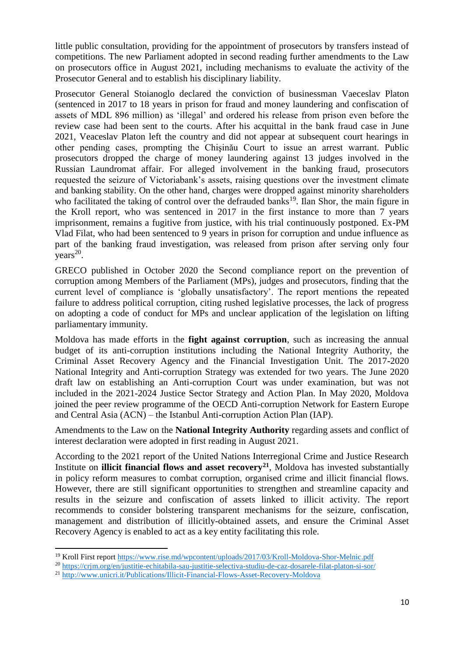little public consultation, providing for the appointment of prosecutors by transfers instead of competitions. The new Parliament adopted in second reading further amendments to the Law on prosecutors office in August 2021, including mechanisms to evaluate the activity of the Prosecutor General and to establish his disciplinary liability.

Prosecutor General Stoianoglo declared the conviction of businessman Vaeceslav Platon (sentenced in 2017 to 18 years in prison for fraud and money laundering and confiscation of assets of MDL 896 million) as 'illegal' and ordered his release from prison even before the review case had been sent to the courts. After his acquittal in the bank fraud case in June 2021, Veaceslav Platon left the country and did not appear at subsequent court hearings in other pending cases, prompting the Chişinău Court to issue an arrest warrant. Public prosecutors dropped the charge of money laundering against 13 judges involved in the Russian Laundromat affair. For alleged involvement in the banking fraud, prosecutors requested the seizure of Victoriabank's assets, raising questions over the investment climate and banking stability. On the other hand, charges were dropped against minority shareholders who facilitated the taking of control over the defrauded banks<sup>19</sup>. Ilan Shor, the main figure in the Kroll report, who was sentenced in 2017 in the first instance to more than 7 years imprisonment, remains a fugitive from justice, with his trial continuously postponed. Ex-PM Vlad Filat, who had been sentenced to 9 years in prison for corruption and undue influence as part of the banking fraud investigation, was released from prison after serving only four  $years<sup>20</sup>$ .

GRECO published in October 2020 the Second compliance report on the prevention of corruption among Members of the Parliament (MPs), judges and prosecutors, finding that the current level of compliance is 'globally unsatisfactory'. The report mentions the repeated failure to address political corruption, citing rushed legislative processes, the lack of progress on adopting a code of conduct for MPs and unclear application of the legislation on lifting parliamentary immunity.

Moldova has made efforts in the **fight against corruption**, such as increasing the annual budget of its anti-corruption institutions including the National Integrity Authority, the Criminal Asset Recovery Agency and the Financial Investigation Unit. The 2017-2020 National Integrity and Anti-corruption Strategy was extended for two years. The June 2020 draft law on establishing an Anti-corruption Court was under examination, but was not included in the 2021-2024 Justice Sector Strategy and Action Plan. In May 2020, Moldova joined the peer review programme of the OECD Anti-corruption Network for Eastern Europe and Central Asia (ACN) – the Istanbul Anti-corruption Action Plan (IAP).

Amendments to the Law on the **National Integrity Authority** regarding assets and conflict of interest declaration were adopted in first reading in August 2021.

According to the 2021 report of the United Nations Interregional Crime and Justice Research Institute on **illicit financial flows and asset recovery<sup>21</sup>**, Moldova has invested substantially in policy reform measures to combat corruption, organised crime and illicit financial flows. However, there are still significant opportunities to strengthen and streamline capacity and results in the seizure and confiscation of assets linked to illicit activity. The report recommends to consider bolstering transparent mechanisms for the seizure, confiscation, management and distribution of illicitly-obtained assets, and ensure the Criminal Asset Recovery Agency is enabled to act as a key entity facilitating this role.

 $\overline{a}$ 

<sup>&</sup>lt;sup>19</sup> Kroll First report https://www.rise.md/wpcontent/uploads/2017/03/Kroll-Moldova-Shor-Melnic.pdf

<sup>20</sup> <https://crjm.org/en/justitie-echitabila-sau-justitie-selectiva-studiu-de-caz-dosarele-filat-platon-si-sor/>

<sup>21</sup> <http://www.unicri.it/Publications/Illicit-Financial-Flows-Asset-Recovery-Moldova>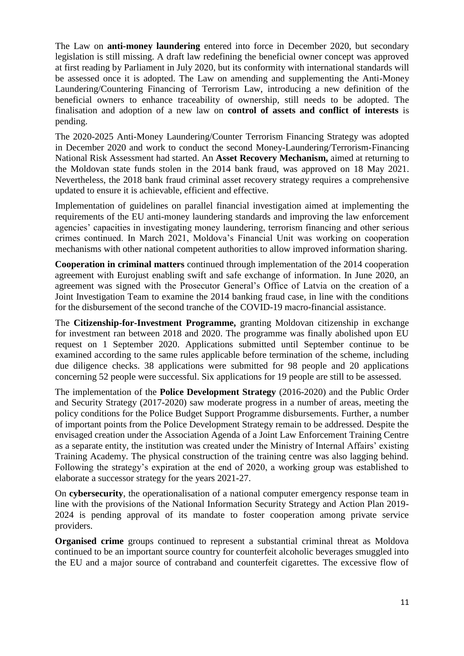The Law on **anti-money laundering** entered into force in December 2020, but secondary legislation is still missing. A draft law redefining the beneficial owner concept was approved at first reading by Parliament in July 2020, but its conformity with international standards will be assessed once it is adopted. The Law on amending and supplementing the Anti-Money Laundering/Countering Financing of Terrorism Law, introducing a new definition of the beneficial owners to enhance traceability of ownership, still needs to be adopted. The finalisation and adoption of a new law on **control of assets and conflict of interests** is pending.

The 2020-2025 Anti-Money Laundering/Counter Terrorism Financing Strategy was adopted in December 2020 and work to conduct the second Money-Laundering/Terrorism-Financing National Risk Assessment had started. An **Asset Recovery Mechanism,** aimed at returning to the Moldovan state funds stolen in the 2014 bank fraud, was approved on 18 May 2021. Nevertheless, the 2018 bank fraud criminal asset recovery strategy requires a comprehensive updated to ensure it is achievable, efficient and effective.

Implementation of guidelines on parallel financial investigation aimed at implementing the requirements of the EU anti-money laundering standards and improving the law enforcement agencies' capacities in investigating money laundering, terrorism financing and other serious crimes continued. In March 2021, Moldova's Financial Unit was working on cooperation mechanisms with other national competent authorities to allow improved information sharing.

**Cooperation in criminal matters** continued through implementation of the 2014 cooperation agreement with Eurojust enabling swift and safe exchange of information. In June 2020, an agreement was signed with the Prosecutor General's Office of Latvia on the creation of a Joint Investigation Team to examine the 2014 banking fraud case, in line with the conditions for the disbursement of the second tranche of the COVID-19 macro-financial assistance.

The **Citizenship-for-Investment Programme,** granting Moldovan citizenship in exchange for investment ran between 2018 and 2020. The programme was finally abolished upon EU request on 1 September 2020. Applications submitted until September continue to be examined according to the same rules applicable before termination of the scheme, including due diligence checks. 38 applications were submitted for 98 people and 20 applications concerning 52 people were successful. Six applications for 19 people are still to be assessed.

The implementation of the **Police Development Strategy** (2016-2020) and the Public Order and Security Strategy (2017-2020) saw moderate progress in a number of areas, meeting the policy conditions for the Police Budget Support Programme disbursements. Further, a number of important points from the Police Development Strategy remain to be addressed. Despite the envisaged creation under the Association Agenda of a Joint Law Enforcement Training Centre as a separate entity, the institution was created under the Ministry of Internal Affairs' existing Training Academy. The physical construction of the training centre was also lagging behind. Following the strategy's expiration at the end of 2020, a working group was established to elaborate a successor strategy for the years 2021-27.

On **cybersecurity**, the operationalisation of a national computer emergency response team in line with the provisions of the National Information Security Strategy and Action Plan 2019- 2024 is pending approval of its mandate to foster cooperation among private service providers.

**Organised crime** groups continued to represent a substantial criminal threat as Moldova continued to be an important source country for counterfeit alcoholic beverages smuggled into the EU and a major source of contraband and counterfeit cigarettes. The excessive flow of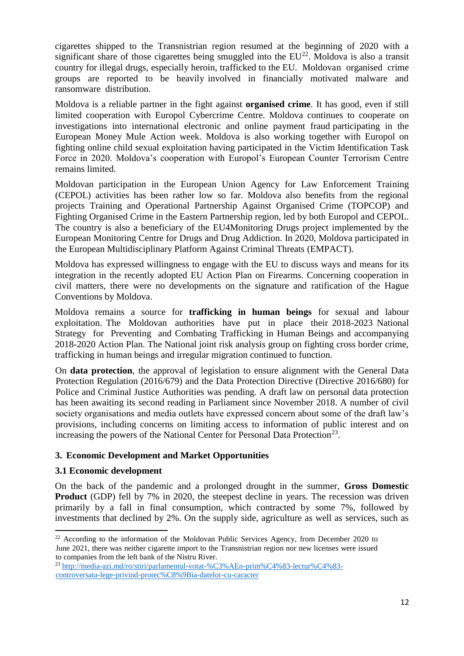cigarettes shipped to the Transnistrian region resumed at the beginning of 2020 with a significant share of those cigarettes being smuggled into the  $EU^{22}$ . Moldova is also a transit country for illegal drugs, especially heroin, trafficked to the EU. Moldovan organised crime groups are reported to be heavily involved in financially motivated malware and ransomware distribution.

Moldova is a reliable partner in the fight against **organised crime**. It has good, even if still limited cooperation with Europol Cybercrime Centre. Moldova continues to cooperate on investigations into international electronic and online payment fraud participating in the European Money Mule Action week. Moldova is also working together with Europol on fighting online child sexual exploitation having participated in the Victim Identification Task Force in 2020. Moldova's cooperation with Europol's European Counter Terrorism Centre remains limited.

Moldovan participation in the European Union Agency for Law Enforcement Training (CEPOL) activities has been rather low so far. Moldova also benefits from the regional projects Training and Operational Partnership Against Organised Crime (TOPCOP) and Fighting Organised Crime in the Eastern Partnership region, led by both Europol and CEPOL. The country is also a beneficiary of the EU4Monitoring Drugs project implemented by the European Monitoring Centre for Drugs and Drug Addiction. In 2020, Moldova participated in the European Multidisciplinary Platform Against Criminal Threats (EMPACT).

Moldova has expressed willingness to engage with the EU to discuss ways and means for its integration in the recently adopted EU Action Plan on Firearms. Concerning cooperation in civil matters, there were no developments on the signature and ratification of the Hague Conventions by Moldova.

Moldova remains a source for **trafficking in human beings** for sexual and labour exploitation. The Moldovan authorities have put in place their 2018-2023 National Strategy for Preventing and Combating Trafficking in Human Beings and accompanying 2018-2020 Action Plan. The National joint risk analysis group on fighting cross border crime, trafficking in human beings and irregular migration continued to function.

On **data protection**, the approval of legislation to ensure alignment with the General Data Protection Regulation (2016/679) and the Data Protection Directive (Directive 2016/680) for Police and Criminal Justice Authorities was pending. A draft law on personal data protection has been awaiting its second reading in Parliament since November 2018. A number of civil society organisations and media outlets have expressed concern about some of the draft law's provisions, including concerns on limiting access to information of public interest and on increasing the powers of the National Center for Personal Data Protection<sup>23</sup>.

## **3. Economic Development and Market Opportunities**

## **3.1 Economic development**

 $\ddot{\phantom{a}}$ 

On the back of the pandemic and a prolonged drought in the summer, **Gross Domestic Product** (GDP) fell by 7% in 2020, the steepest decline in years. The recession was driven primarily by a fall in final consumption, which contracted by some 7%, followed by investments that declined by 2%. On the supply side, agriculture as well as services, such as

 $22$  According to the information of the Moldovan Public Services Agency, from December 2020 to June 2021, there was neither cigarette import to the Transnistrian region nor new licenses were issued to companies from the left bank of the Nistru River.

<sup>23</sup> [http://media-azi.md/ro/stiri/parlamentul-votat-%C3%AEn-prim%C4%83-lectur%C4%83](http://media-azi.md/ro/stiri/parlamentul-votat-%C3%AEn-prim%C4%83-lectur%C4%83-controversata-lege-privind-protec%C8%9Bia-datelor-cu-caracter) [controversata-lege-privind-protec%C8%9Bia-datelor-cu-caracter](http://media-azi.md/ro/stiri/parlamentul-votat-%C3%AEn-prim%C4%83-lectur%C4%83-controversata-lege-privind-protec%C8%9Bia-datelor-cu-caracter)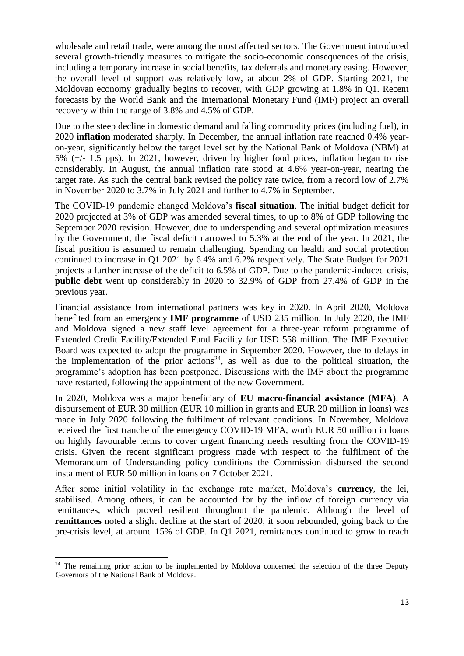wholesale and retail trade, were among the most affected sectors. The Government introduced several growth-friendly measures to mitigate the socio-economic consequences of the crisis, including a temporary increase in social benefits, tax deferrals and monetary easing. However, the overall level of support was relatively low, at about 2% of GDP. Starting 2021, the Moldovan economy gradually begins to recover, with GDP growing at 1.8% in Q1. Recent forecasts by the World Bank and the International Monetary Fund (IMF) project an overall recovery within the range of 3.8% and 4.5% of GDP.

Due to the steep decline in domestic demand and falling commodity prices (including fuel), in 2020 **inflation** moderated sharply. In December, the annual inflation rate reached 0.4% yearon-year, significantly below the target level set by the National Bank of Moldova (NBM) at 5% (+/- 1.5 pps). In 2021, however, driven by higher food prices, inflation began to rise considerably. In August, the annual inflation rate stood at 4.6% year-on-year, nearing the target rate. As such the central bank revised the policy rate twice, from a record low of 2.7% in November 2020 to 3.7% in July 2021 and further to 4.7% in September.

The COVID-19 pandemic changed Moldova's **fiscal situation**. The initial budget deficit for 2020 projected at 3% of GDP was amended several times, to up to 8% of GDP following the September 2020 revision. However, due to underspending and several optimization measures by the Government, the fiscal deficit narrowed to 5.3% at the end of the year. In 2021, the fiscal position is assumed to remain challenging. Spending on health and social protection continued to increase in Q1 2021 by 6.4% and 6.2% respectively. The State Budget for 2021 projects a further increase of the deficit to 6.5% of GDP. Due to the pandemic-induced crisis, **public debt** went up considerably in 2020 to 32.9% of GDP from 27.4% of GDP in the previous year.

Financial assistance from international partners was key in 2020. In April 2020, Moldova benefited from an emergency **IMF programme** of USD 235 million. In July 2020, the IMF and Moldova signed a new staff level agreement for a three-year reform programme of Extended Credit Facility/Extended Fund Facility for USD 558 million. The IMF Executive Board was expected to adopt the programme in September 2020. However, due to delays in the implementation of the prior actions<sup>24</sup>, as well as due to the political situation, the programme's adoption has been postponed. Discussions with the IMF about the programme have restarted, following the appointment of the new Government.

In 2020, Moldova was a major beneficiary of **EU macro-financial assistance (MFA)**. A disbursement of EUR 30 million (EUR 10 million in grants and EUR 20 million in loans) was made in July 2020 following the fulfilment of relevant conditions. In November, Moldova received the first tranche of the emergency COVID-19 MFA, worth EUR 50 million in loans on highly favourable terms to cover urgent financing needs resulting from the COVID-19 crisis. Given the recent significant progress made with respect to the fulfilment of the Memorandum of Understanding policy conditions the Commission disbursed the second instalment of EUR 50 million in loans on 7 October 2021.

After some initial volatility in the exchange rate market, Moldova's **currency**, the lei, stabilised. Among others, it can be accounted for by the inflow of foreign currency via remittances, which proved resilient throughout the pandemic. Although the level of **remittances** noted a slight decline at the start of 2020, it soon rebounded, going back to the pre-crisis level, at around 15% of GDP. In Q1 2021, remittances continued to grow to reach

<sup>1</sup> <sup>24</sup> The remaining prior action to be implemented by Moldova concerned the selection of the three Deputy Governors of the National Bank of Moldova.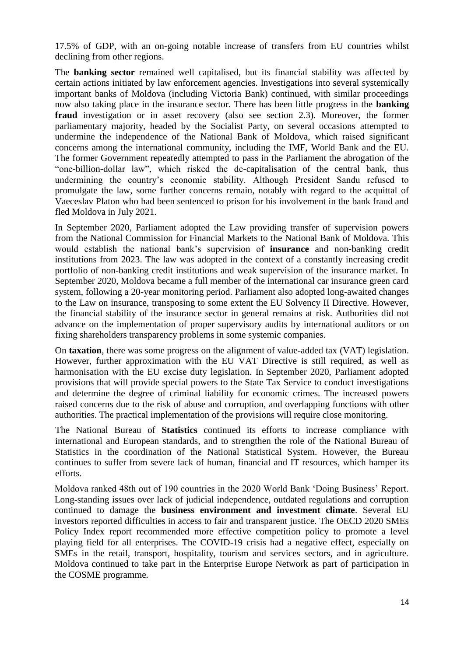17.5% of GDP, with an on-going notable increase of transfers from EU countries whilst declining from other regions.

The **banking sector** remained well capitalised, but its financial stability was affected by certain actions initiated by law enforcement agencies. Investigations into several systemically important banks of Moldova (including Victoria Bank) continued, with similar proceedings now also taking place in the insurance sector. There has been little progress in the **banking fraud** investigation or in asset recovery (also see section 2.3). Moreover, the former parliamentary majority, headed by the Socialist Party, on several occasions attempted to undermine the independence of the National Bank of Moldova, which raised significant concerns among the international community, including the IMF, World Bank and the EU. The former Government repeatedly attempted to pass in the Parliament the abrogation of the "one-billion-dollar law", which risked the de-capitalisation of the central bank, thus undermining the country's economic stability. Although President Sandu refused to promulgate the law, some further concerns remain, notably with regard to the acquittal of Vaeceslav Platon who had been sentenced to prison for his involvement in the bank fraud and fled Moldova in July 2021.

In September 2020, Parliament adopted the Law providing transfer of supervision powers from the National Commission for Financial Markets to the National Bank of Moldova. This would establish the national bank's supervision of **insurance** and non-banking credit institutions from 2023. The law was adopted in the context of a constantly increasing credit portfolio of non-banking credit institutions and weak supervision of the insurance market. In September 2020, Moldova became a full member of the international car insurance green card system, following a 20-year monitoring period. Parliament also adopted long-awaited changes to the Law on insurance, transposing to some extent the EU Solvency II Directive. However, the financial stability of the insurance sector in general remains at risk. Authorities did not advance on the implementation of proper supervisory audits by international auditors or on fixing shareholders transparency problems in some systemic companies.

On **taxation**, there was some progress on the alignment of value-added tax (VAT) legislation. However, further approximation with the EU VAT Directive is still required, as well as harmonisation with the EU excise duty legislation. In September 2020, Parliament adopted provisions that will provide special powers to the State Tax Service to conduct investigations and determine the degree of criminal liability for economic crimes. The increased powers raised concerns due to the risk of abuse and corruption, and overlapping functions with other authorities. The practical implementation of the provisions will require close monitoring.

The National Bureau of **Statistics** continued its efforts to increase compliance with international and European standards, and to strengthen the role of the National Bureau of Statistics in the coordination of the National Statistical System. However, the Bureau continues to suffer from severe lack of human, financial and IT resources, which hamper its efforts.

Moldova ranked 48th out of 190 countries in the 2020 World Bank 'Doing Business' Report. Long-standing issues over lack of judicial independence, outdated regulations and corruption continued to damage the **business environment and investment climate**. Several EU investors reported difficulties in access to fair and transparent justice. The OECD 2020 SMEs Policy Index report recommended more effective competition policy to promote a level playing field for all enterprises. The COVID-19 crisis had a negative effect, especially on SMEs in the retail, transport, hospitality, tourism and services sectors, and in agriculture. Moldova continued to take part in the Enterprise Europe Network as part of participation in the COSME programme.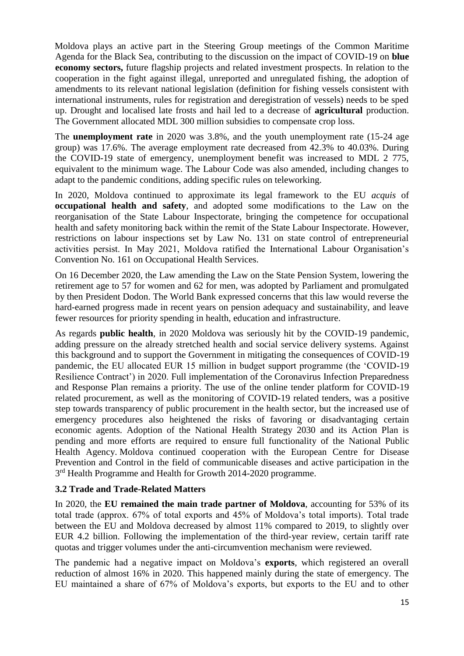Moldova plays an active part in the Steering Group meetings of the Common Maritime Agenda for the Black Sea, contributing to the discussion on the impact of COVID-19 on **blue economy sectors,** future flagship projects and related investment prospects. In relation to the cooperation in the fight against illegal, unreported and unregulated fishing, the adoption of amendments to its relevant national legislation (definition for fishing vessels consistent with international instruments, rules for registration and deregistration of vessels) needs to be sped up. Drought and localised late frosts and hail led to a decrease of **agricultural** production. The Government allocated MDL 300 million subsidies to compensate crop loss.

The **unemployment rate** in 2020 was 3.8%, and the youth unemployment rate (15-24 age group) was 17.6%. The average employment rate decreased from 42.3% to 40.03%. During the COVID-19 state of emergency, unemployment benefit was increased to MDL 2 775, equivalent to the minimum wage. The Labour Code was also amended, including changes to adapt to the pandemic conditions, adding specific rules on teleworking.

In 2020, Moldova continued to approximate its legal framework to the EU *acquis* of **occupational health and safety**, and adopted some modifications to the Law on the reorganisation of the State Labour Inspectorate, bringing the competence for occupational health and safety monitoring back within the remit of the State Labour Inspectorate. However, restrictions on labour inspections set by Law No. 131 on state control of entrepreneurial activities persist. In May 2021, Moldova ratified the International Labour Organisation's Convention No. 161 on Occupational Health Services.

On 16 December 2020, the Law amending the Law on the State Pension System, lowering the retirement age to 57 for women and 62 for men, was adopted by Parliament and promulgated by then President Dodon. The World Bank expressed concerns that this law would reverse the hard-earned progress made in recent years on pension adequacy and sustainability, and leave fewer resources for priority spending in health, education and infrastructure.

As regards **public health**, in 2020 Moldova was seriously hit by the COVID-19 pandemic, adding pressure on the already stretched health and social service delivery systems. Against this background and to support the Government in mitigating the consequences of COVID-19 pandemic, the EU allocated EUR 15 million in budget support programme (the 'COVID-19 Resilience Contract') in 2020. Full implementation of the Coronavirus Infection Preparedness and Response Plan remains a priority. The use of the online tender platform for COVID-19 related procurement, as well as the monitoring of COVID-19 related tenders, was a positive step towards transparency of public procurement in the health sector, but the increased use of emergency procedures also heightened the risks of favoring or disadvantaging certain economic agents. Adoption of the National Health Strategy 2030 and its Action Plan is pending and more efforts are required to ensure full functionality of the National Public Health Agency. Moldova continued cooperation with the European Centre for Disease Prevention and Control in the field of communicable diseases and active participation in the 3<sup>rd</sup> Health Programme and Health for Growth 2014-2020 programme.

## **3.2 Trade and Trade-Related Matters**

In 2020, the **EU remained the main trade partner of Moldova**, accounting for 53% of its total trade (approx. 67% of total exports and 45% of Moldova's total imports). Total trade between the EU and Moldova decreased by almost 11% compared to 2019, to slightly over EUR 4.2 billion. Following the implementation of the third-year review, certain tariff rate quotas and trigger volumes under the anti-circumvention mechanism were reviewed.

The pandemic had a negative impact on Moldova's **exports**, which registered an overall reduction of almost 16% in 2020. This happened mainly during the state of emergency. The EU maintained a share of 67% of Moldova's exports, but exports to the EU and to other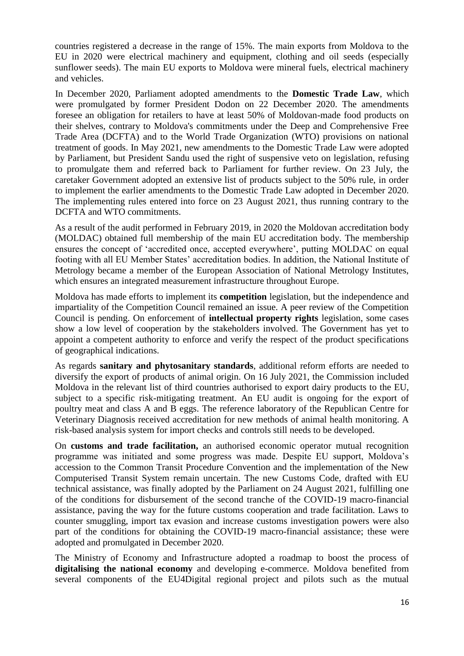countries registered a decrease in the range of 15%. The main exports from Moldova to the EU in 2020 were electrical machinery and equipment, clothing and oil seeds (especially sunflower seeds). The main EU exports to Moldova were mineral fuels, electrical machinery and vehicles.

In December 2020, Parliament adopted amendments to the **Domestic Trade Law**, which were promulgated by former President Dodon on 22 December 2020. The amendments foresee an obligation for retailers to have at least 50% of Moldovan-made food products on their shelves, contrary to Moldova's commitments under the Deep and Comprehensive Free Trade Area (DCFTA) and to the World Trade Organization (WTO) provisions on national treatment of goods. In May 2021, new amendments to the Domestic Trade Law were adopted by Parliament, but President Sandu used the right of suspensive veto on legislation, refusing to promulgate them and referred back to Parliament for further review. On 23 July, the caretaker Government adopted an extensive list of products subject to the 50% rule, in order to implement the earlier amendments to the Domestic Trade Law adopted in December 2020. The implementing rules entered into force on 23 August 2021, thus running contrary to the DCFTA and WTO commitments.

As a result of the audit performed in February 2019, in 2020 the Moldovan accreditation body (MOLDAC) obtained full membership of the main EU accreditation body. The membership ensures the concept of 'accredited once, accepted everywhere', putting MOLDAC on equal footing with all EU Member States' accreditation bodies. In addition, the National Institute of Metrology became a member of the European Association of National Metrology Institutes, which ensures an integrated measurement infrastructure throughout Europe.

Moldova has made efforts to implement its **competition** legislation, but the independence and impartiality of the Competition Council remained an issue. A peer review of the Competition Council is pending. On enforcement of **intellectual property rights** legislation, some cases show a low level of cooperation by the stakeholders involved. The Government has yet to appoint a competent authority to enforce and verify the respect of the product specifications of geographical indications.

As regards **sanitary and phytosanitary standards**, additional reform efforts are needed to diversify the export of products of animal origin. On 16 July 2021, the Commission included Moldova in the relevant list of third countries authorised to export dairy products to the EU, subject to a specific risk-mitigating treatment. An EU audit is ongoing for the export of poultry meat and class A and B eggs. The reference laboratory of the Republican Centre for Veterinary Diagnosis received accreditation for new methods of animal health monitoring. A risk-based analysis system for import checks and controls still needs to be developed.

On **customs and trade facilitation,** an authorised economic operator mutual recognition programme was initiated and some progress was made. Despite EU support, Moldova's accession to the Common Transit Procedure Convention and the implementation of the New Computerised Transit System remain uncertain. The new Customs Code, drafted with EU technical assistance, was finally adopted by the Parliament on 24 August 2021, fulfilling one of the conditions for disbursement of the second tranche of the COVID-19 macro-financial assistance, paving the way for the future customs cooperation and trade facilitation. Laws to counter smuggling, import tax evasion and increase customs investigation powers were also part of the conditions for obtaining the COVID-19 macro-financial assistance; these were adopted and promulgated in December 2020.

The Ministry of Economy and Infrastructure adopted a roadmap to boost the process of **digitalising the national economy** and developing e-commerce. Moldova benefited from several components of the EU4Digital regional project and pilots such as the mutual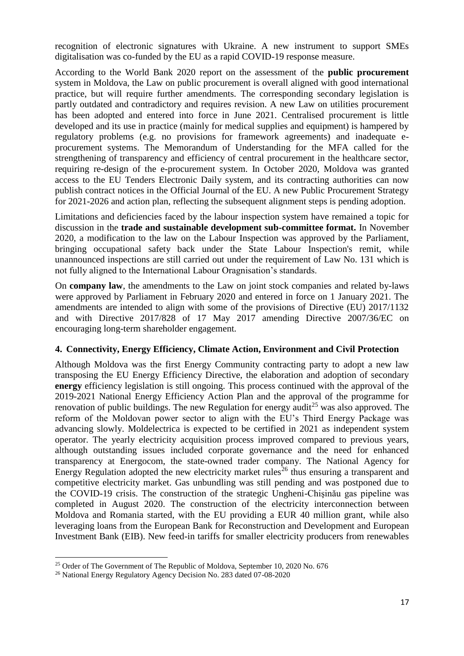recognition of electronic signatures with Ukraine. A new instrument to support SMEs digitalisation was co-funded by the EU as a rapid COVID-19 response measure.

According to the World Bank 2020 report on the assessment of the **public procurement** system in Moldova, the Law on public procurement is overall aligned with good international practice, but will require further amendments. The corresponding secondary legislation is partly outdated and contradictory and requires revision. A new Law on utilities procurement has been adopted and entered into force in June 2021. Centralised procurement is little developed and its use in practice (mainly for medical supplies and equipment) is hampered by regulatory problems (e.g. no provisions for framework agreements) and inadequate eprocurement systems. The Memorandum of Understanding for the MFA called for the strengthening of transparency and efficiency of central procurement in the healthcare sector, requiring re-design of the e-procurement system. In October 2020, Moldova was granted access to the EU Tenders Electronic Daily system, and its contracting authorities can now publish contract notices in the Official Journal of the EU. A new Public Procurement Strategy for 2021-2026 and action plan, reflecting the subsequent alignment steps is pending adoption.

Limitations and deficiencies faced by the labour inspection system have remained a topic for discussion in the **trade and sustainable development sub-committee format.** In November 2020, a modification to the law on the Labour Inspection was approved by the Parliament, bringing occupational safety back under the State Labour Inspection's remit, while unannounced inspections are still carried out under the requirement of Law No. 131 which is not fully aligned to the International Labour Oragnisation's standards.

On **company law**, the amendments to the Law on joint stock companies and related by-laws were approved by Parliament in February 2020 and entered in force on 1 January 2021. The amendments are intended to align with some of the provisions of Directive (EU) 2017/1132 and with Directive 2017/828 of 17 May 2017 amending Directive 2007/36/EC on encouraging long-term shareholder engagement.

#### **4. Connectivity, Energy Efficiency, Climate Action, Environment and Civil Protection**

Although Moldova was the first Energy Community contracting party to adopt a new law transposing the EU Energy Efficiency Directive, the elaboration and adoption of secondary **energy** efficiency legislation is still ongoing. This process continued with the approval of the 2019-2021 National Energy Efficiency Action Plan and the approval of the programme for renovation of public buildings. The new Regulation for energy audit<sup>25</sup> was also approved. The reform of the Moldovan power sector to align with the EU's Third Energy Package was advancing slowly. Moldelectrica is expected to be certified in 2021 as independent system operator. The yearly electricity acquisition process improved compared to previous years, although outstanding issues included corporate governance and the need for enhanced transparency at Energocom, the state-owned trader company. The National Agency for Energy Regulation adopted the new electricity market rules<sup>26</sup> thus ensuring a transparent and competitive electricity market. Gas unbundling was still pending and was postponed due to the COVID-19 crisis. The construction of the strategic Ungheni-Chişinău gas pipeline was completed in August 2020. The construction of the electricity interconnection between Moldova and Romania started, with the EU providing a EUR 40 million grant, while also leveraging loans from the European Bank for Reconstruction and Development and European Investment Bank (EIB). New feed-in tariffs for smaller electricity producers from renewables

1

<sup>&</sup>lt;sup>25</sup> Order of The Government of The Republic of Moldova, September 10, 2020 No. 676

<sup>26</sup> National Energy Regulatory Agency Decision No. 283 dated 07-08-2020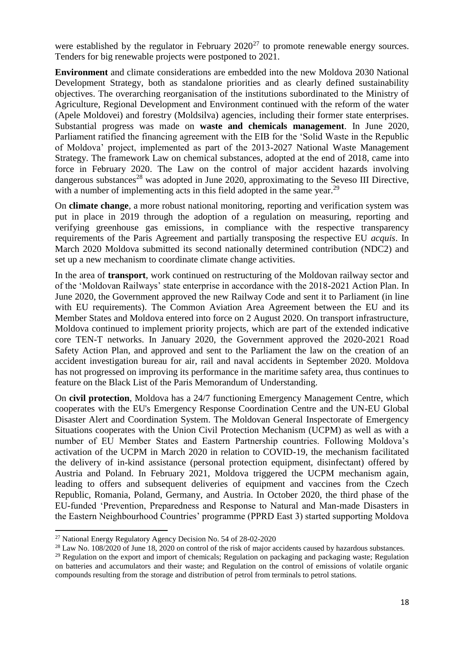were established by the regulator in February  $2020^{27}$  to promote renewable energy sources. Tenders for big renewable projects were postponed to 2021.

**Environment** and climate considerations are embedded into the new Moldova 2030 National Development Strategy, both as standalone priorities and as clearly defined sustainability objectives. The overarching reorganisation of the institutions subordinated to the Ministry of Agriculture, Regional Development and Environment continued with the reform of the water (Apele Moldovei) and forestry (Moldsilva) agencies, including their former state enterprises. Substantial progress was made on **waste and chemicals management**. In June 2020, Parliament ratified the financing agreement with the EIB for the 'Solid Waste in the Republic of Moldova' project, implemented as part of the 2013-2027 National Waste Management Strategy. The framework Law on chemical substances, adopted at the end of 2018, came into force in February 2020. The Law on the control of major accident hazards involving dangerous substances<sup>28</sup> was adopted in June 2020, approximating to the Seveso III Directive, with a number of implementing acts in this field adopted in the same year.<sup>29</sup>

On **climate change**, a more robust national monitoring, reporting and verification system was put in place in 2019 through the adoption of a regulation on measuring, reporting and verifying greenhouse gas emissions, in compliance with the respective transparency requirements of the Paris Agreement and partially transposing the respective EU *acquis*. In March 2020 Moldova submitted its second nationally determined contribution (NDC2) and set up a new mechanism to coordinate climate change activities.

In the area of **transport**, work continued on restructuring of the Moldovan railway sector and of the 'Moldovan Railways' state enterprise in accordance with the 2018-2021 Action Plan. In June 2020, the Government approved the new Railway Code and sent it to Parliament (in line with EU requirements). The Common Aviation Area Agreement between the EU and its Member States and Moldova entered into force on 2 August 2020. On transport infrastructure, Moldova continued to implement priority projects, which are part of the extended indicative core TEN-T networks. In January 2020, the Government approved the 2020-2021 Road Safety Action Plan, and approved and sent to the Parliament the law on the creation of an accident investigation bureau for air, rail and naval accidents in September 2020. Moldova has not progressed on improving its performance in the maritime safety area, thus continues to feature on the Black List of the Paris Memorandum of Understanding.

On **civil protection**, Moldova has a 24/7 functioning Emergency Management Centre, which cooperates with the EU's Emergency Response Coordination Centre and the UN-EU Global Disaster Alert and Coordination System. The Moldovan General Inspectorate of Emergency Situations cooperates with the Union Civil Protection Mechanism (UCPM) as well as with a number of EU Member States and Eastern Partnership countries. Following Moldova's activation of the UCPM in March 2020 in relation to COVID-19, the mechanism facilitated the delivery of in-kind assistance (personal protection equipment, disinfectant) offered by Austria and Poland. In February 2021, Moldova triggered the UCPM mechanism again, leading to offers and subsequent deliveries of equipment and vaccines from the Czech Republic, Romania, Poland, Germany, and Austria. In October 2020, the third phase of the EU-funded 'Prevention, Preparedness and Response to Natural and Man-made Disasters in the Eastern Neighbourhood Countries' programme (PPRD East 3) started supporting Moldova

 $\ddot{\phantom{a}}$ 

<sup>27</sup> National Energy Regulatory Agency Decision No. 54 of 28-02-2020

<sup>&</sup>lt;sup>28</sup> Law No. 108/2020 of June 18, 2020 on control of the risk of major accidents caused by hazardous substances.

<sup>&</sup>lt;sup>29</sup> Regulation on the export and import of chemicals; Regulation on packaging and packaging waste; Regulation on batteries and accumulators and their waste; and Regulation on the control of emissions of volatile organic compounds resulting from the storage and distribution of petrol from terminals to petrol stations.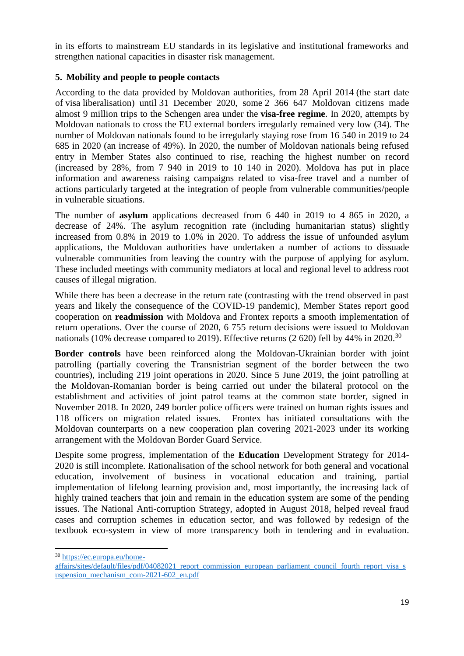in its efforts to mainstream EU standards in its legislative and institutional frameworks and strengthen national capacities in disaster risk management.

## **5. Mobility and people to people contacts**

According to the data provided by Moldovan authorities, from 28 April 2014 (the start date of visa liberalisation) until 31 December 2020, some 2 366 647 Moldovan citizens made almost 9 million trips to the Schengen area under the **visa-free regime**. In 2020, attempts by Moldovan nationals to cross the EU external borders irregularly remained very low (34). The number of Moldovan nationals found to be irregularly staying rose from 16 540 in 2019 to 24 685 in 2020 (an increase of 49%). In 2020, the number of Moldovan nationals being refused entry in Member States also continued to rise, reaching the highest number on record (increased by 28%, from 7 940 in 2019 to 10 140 in 2020). Moldova has put in place information and awareness raising campaigns related to visa-free travel and a number of actions particularly targeted at the integration of people from vulnerable communities/people in vulnerable situations.

The number of **asylum** applications decreased from 6 440 in 2019 to 4 865 in 2020, a decrease of 24%. The asylum recognition rate (including humanitarian status) slightly increased from 0.8% in 2019 to 1.0% in 2020. To address the issue of unfounded asylum applications, the Moldovan authorities have undertaken a number of actions to dissuade vulnerable communities from leaving the country with the purpose of applying for asylum. These included meetings with community mediators at local and regional level to address root causes of illegal migration.

While there has been a decrease in the return rate (contrasting with the trend observed in past years and likely the consequence of the COVID-19 pandemic), Member States report good cooperation on **readmission** with Moldova and Frontex reports a smooth implementation of return operations. Over the course of 2020, 6 755 return decisions were issued to Moldovan nationals (10% decrease compared to 2019). Effective returns (2 620) fell by 44% in 2020.<sup>30</sup>

**Border controls** have been reinforced along the Moldovan-Ukrainian border with joint patrolling (partially covering the Transnistrian segment of the border between the two countries), including 219 joint operations in 2020. Since 5 June 2019, the joint patrolling at the Moldovan-Romanian border is being carried out under the bilateral protocol on the establishment and activities of joint patrol teams at the common state border, signed in November 2018. In 2020, 249 border police officers were trained on human rights issues and 118 officers on migration related issues. Frontex has initiated consultations with the Moldovan counterparts on a new cooperation plan covering 2021-2023 under its working arrangement with the Moldovan Border Guard Service.

Despite some progress, implementation of the **Education** Development Strategy for 2014- 2020 is still incomplete. Rationalisation of the school network for both general and vocational education, involvement of business in vocational education and training, partial implementation of lifelong learning provision and, most importantly, the increasing lack of highly trained teachers that join and remain in the education system are some of the pending issues. The National Anti-corruption Strategy, adopted in August 2018, helped reveal fraud cases and corruption schemes in education sector, and was followed by redesign of the textbook eco-system in view of more transparency both in tendering and in evaluation.

 $\overline{a}$ 

<sup>30</sup> [https://ec.europa.eu/home-](https://ec.europa.eu/home-affairs/sites/default/files/pdf/04082021_report_commission_european_parliament_council_fourth_report_visa_suspension_mechanism_com-2021-602_en.pdf)

[affairs/sites/default/files/pdf/04082021\\_report\\_commission\\_european\\_parliament\\_council\\_fourth\\_report\\_visa\\_s](https://ec.europa.eu/home-affairs/sites/default/files/pdf/04082021_report_commission_european_parliament_council_fourth_report_visa_suspension_mechanism_com-2021-602_en.pdf) [uspension\\_mechanism\\_com-2021-602\\_en.pdf](https://ec.europa.eu/home-affairs/sites/default/files/pdf/04082021_report_commission_european_parliament_council_fourth_report_visa_suspension_mechanism_com-2021-602_en.pdf)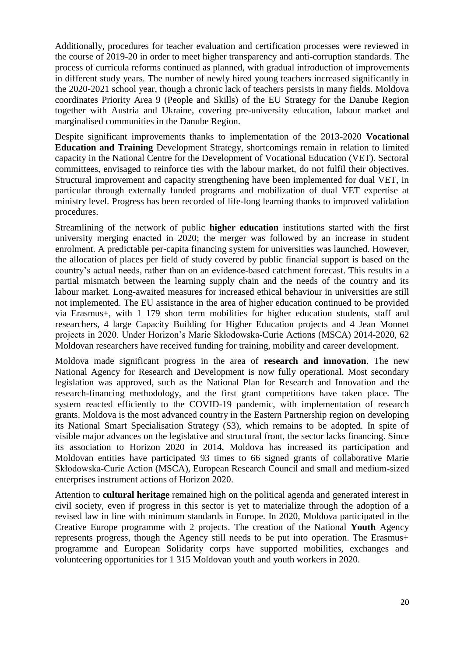Additionally, procedures for teacher evaluation and certification processes were reviewed in the course of 2019-20 in order to meet higher transparency and anti-corruption standards. The process of curricula reforms continued as planned, with gradual introduction of improvements in different study years. The number of newly hired young teachers increased significantly in the 2020-2021 school year, though a chronic lack of teachers persists in many fields. Moldova coordinates Priority Area 9 (People and Skills) of the EU Strategy for the Danube Region together with Austria and Ukraine, covering pre-university education, labour market and marginalised communities in the Danube Region.

Despite significant improvements thanks to implementation of the 2013-2020 **Vocational Education and Training** Development Strategy, shortcomings remain in relation to limited capacity in the National Centre for the Development of Vocational Education (VET). Sectoral committees, envisaged to reinforce ties with the labour market, do not fulfil their objectives. Structural improvement and capacity strengthening have been implemented for dual VET, in particular through externally funded programs and mobilization of dual VET expertise at ministry level. Progress has been recorded of life-long learning thanks to improved validation procedures.

Streamlining of the network of public **higher education** institutions started with the first university merging enacted in 2020; the merger was followed by an increase in student enrolment. A predictable per-capita financing system for universities was launched. However, the allocation of places per field of study covered by public financial support is based on the country's actual needs, rather than on an evidence-based catchment forecast. This results in a partial mismatch between the learning supply chain and the needs of the country and its labour market. Long-awaited measures for increased ethical behaviour in universities are still not implemented. The EU assistance in the area of higher education continued to be provided via Erasmus+, with 1 179 short term mobilities for higher education students, staff and researchers, 4 large Capacity Building for Higher Education projects and 4 Jean Monnet projects in 2020. Under Horizon's Marie Skłodowska-Curie Actions (MSCA) 2014-2020, 62 Moldovan researchers have received funding for training, mobility and career development.

Moldova made significant progress in the area of **research and innovation**. The new National Agency for Research and Development is now fully operational. Most secondary legislation was approved, such as the National Plan for Research and Innovation and the research-financing methodology, and the first grant competitions have taken place. The system reacted efficiently to the COVID-19 pandemic, with implementation of research grants. Moldova is the most advanced country in the Eastern Partnership region on developing its National Smart Specialisation Strategy (S3), which remains to be adopted. In spite of visible major advances on the legislative and structural front, the sector lacks financing. Since its association to Horizon 2020 in 2014, Moldova has increased its participation and Moldovan entities have participated 93 times to 66 signed grants of collaborative Marie Skłodowska-Curie Action (MSCA), European Research Council and small and medium-sized enterprises instrument actions of Horizon 2020.

Attention to **cultural heritage** remained high on the political agenda and generated interest in civil society, even if progress in this sector is yet to materialize through the adoption of a revised law in line with minimum standards in Europe. In 2020, Moldova participated in the Creative Europe programme with 2 projects. The creation of the National **Youth** Agency represents progress, though the Agency still needs to be put into operation. The Erasmus+ programme and European Solidarity corps have supported mobilities, exchanges and volunteering opportunities for 1 315 Moldovan youth and youth workers in 2020.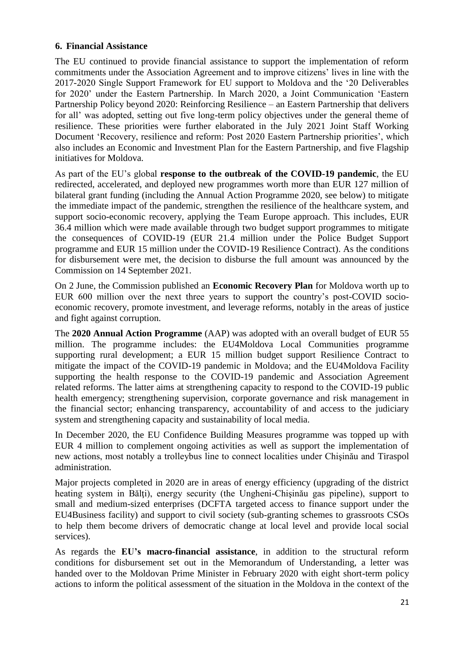## **6. Financial Assistance**

The EU continued to provide financial assistance to support the implementation of reform commitments under the Association Agreement and to improve citizens' lives in line with the 2017-2020 Single Support Framework for EU support to Moldova and the '20 Deliverables for 2020' under the Eastern Partnership. In March 2020, a Joint Communication 'Eastern Partnership Policy beyond 2020: Reinforcing Resilience – an Eastern Partnership that delivers for all' was adopted, setting out five long-term policy objectives under the general theme of resilience. These priorities were further elaborated in the July 2021 Joint Staff Working Document 'Recovery, resilience and reform: Post 2020 Eastern Partnership priorities', which also includes an Economic and Investment Plan for the Eastern Partnership, and five Flagship initiatives for Moldova.

As part of the EU's global **response to the outbreak of the COVID-19 pandemic**, the EU redirected, accelerated, and deployed new programmes worth more than EUR 127 million of bilateral grant funding (including the Annual Action Programme 2020, see below) to mitigate the immediate impact of the pandemic, strengthen the resilience of the healthcare system, and support socio-economic recovery, applying the Team Europe approach. This includes, EUR 36.4 million which were made available through two budget support programmes to mitigate the consequences of COVID-19 (EUR 21.4 million under the Police Budget Support programme and EUR 15 million under the COVID-19 Resilience Contract). As the conditions for disbursement were met, the decision to disburse the full amount was announced by the Commission on 14 September 2021.

On 2 June, the Commission published an **Economic Recovery Plan** for Moldova worth up to EUR 600 million over the next three years to support the country's post-COVID socioeconomic recovery, promote investment, and leverage reforms, notably in the areas of justice and fight against corruption.

The **2020 Annual Action Programme** (AAP) was adopted with an overall budget of EUR 55 million. The programme includes: the EU4Moldova Local Communities programme supporting rural development; a EUR 15 million budget support Resilience Contract to mitigate the impact of the COVID-19 pandemic in Moldova; and the EU4Moldova Facility supporting the health response to the COVID-19 pandemic and Association Agreement related reforms. The latter aims at strengthening capacity to respond to the COVID-19 public health emergency; strengthening supervision, corporate governance and risk management in the financial sector; enhancing transparency, accountability of and access to the judiciary system and strengthening capacity and sustainability of local media.

In December 2020, the EU Confidence Building Measures programme was topped up with EUR 4 million to complement ongoing activities as well as support the implementation of new actions, most notably a trolleybus line to connect localities under Chişinău and Tiraspol administration.

Major projects completed in 2020 are in areas of energy efficiency (upgrading of the district heating system in Bălți), energy security (the Ungheni-Chisinău gas pipeline), support to small and medium-sized enterprises (DCFTA targeted access to finance support under the EU4Business facility) and support to civil society (sub-granting schemes to grassroots CSOs to help them become drivers of democratic change at local level and provide local social services).

As regards the **EU's macro-financial assistance**, in addition to the structural reform conditions for disbursement set out in the Memorandum of Understanding, a letter was handed over to the Moldovan Prime Minister in February 2020 with eight short-term policy actions to inform the political assessment of the situation in the Moldova in the context of the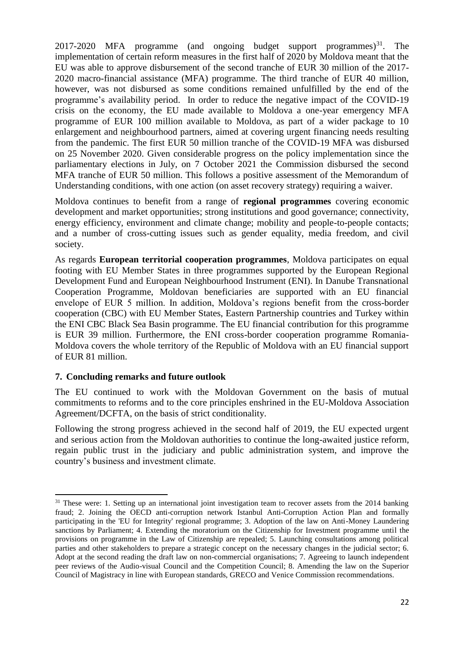2017-2020 MFA programme (and ongoing budget support programmes) $31$ . The implementation of certain reform measures in the first half of 2020 by Moldova meant that the EU was able to approve disbursement of the second tranche of EUR 30 million of the 2017- 2020 macro-financial assistance (MFA) programme. The third tranche of EUR 40 million, however, was not disbursed as some conditions remained unfulfilled by the end of the programme's availability period. In order to reduce the negative impact of the COVID-19 crisis on the economy, the EU made available to Moldova a one-year emergency MFA programme of EUR 100 million available to Moldova, as part of a wider package to 10 enlargement and neighbourhood partners, aimed at covering urgent financing needs resulting from the pandemic. The first EUR 50 million tranche of the COVID-19 MFA was disbursed on 25 November 2020. Given considerable progress on the policy implementation since the parliamentary elections in July, on 7 October 2021 the Commission disbursed the second MFA tranche of EUR 50 million. This follows a positive assessment of the Memorandum of Understanding conditions, with one action (on asset recovery strategy) requiring a waiver.

Moldova continues to benefit from a range of **regional programmes** covering economic development and market opportunities; strong institutions and good governance; connectivity, energy efficiency, environment and climate change; mobility and people-to-people contacts; and a number of cross-cutting issues such as gender equality, media freedom, and civil society.

As regards **European territorial cooperation programmes**, Moldova participates on equal footing with EU Member States in three programmes supported by the European Regional Development Fund and European Neighbourhood Instrument (ENI). In Danube Transnational Cooperation Programme, Moldovan beneficiaries are supported with an EU financial envelope of EUR 5 million. In addition, Moldova's regions benefit from the cross-border cooperation (CBC) with EU Member States, Eastern Partnership countries and Turkey within the ENI CBC Black Sea Basin programme. The EU financial contribution for this programme is EUR 39 million. Furthermore, the ENI cross-border cooperation programme Romania-Moldova covers the whole territory of the Republic of Moldova with an EU financial support of EUR 81 million.

#### **7. Concluding remarks and future outlook**

1

The EU continued to work with the Moldovan Government on the basis of mutual commitments to reforms and to the core principles enshrined in the EU-Moldova Association Agreement/DCFTA, on the basis of strict conditionality.

Following the strong progress achieved in the second half of 2019, the EU expected urgent and serious action from the Moldovan authorities to continue the long-awaited justice reform, regain public trust in the judiciary and public administration system, and improve the country's business and investment climate.

<sup>&</sup>lt;sup>31</sup> These were: 1. Setting up an international joint investigation team to recover assets from the 2014 banking fraud; 2. Joining the OECD anti-corruption network Istanbul Anti-Corruption Action Plan and formally participating in the 'EU for Integrity' regional programme; 3. Adoption of the law on Anti-Money Laundering sanctions by Parliament; 4. Extending the moratorium on the Citizenship for Investment programme until the provisions on programme in the Law of Citizenship are repealed; 5. Launching consultations among political parties and other stakeholders to prepare a strategic concept on the necessary changes in the judicial sector; 6. Adopt at the second reading the draft law on non-commercial organisations; 7. Agreeing to launch independent peer reviews of the Audio-visual Council and the Competition Council; 8. Amending the law on the Superior Council of Magistracy in line with European standards, GRECO and Venice Commission recommendations.